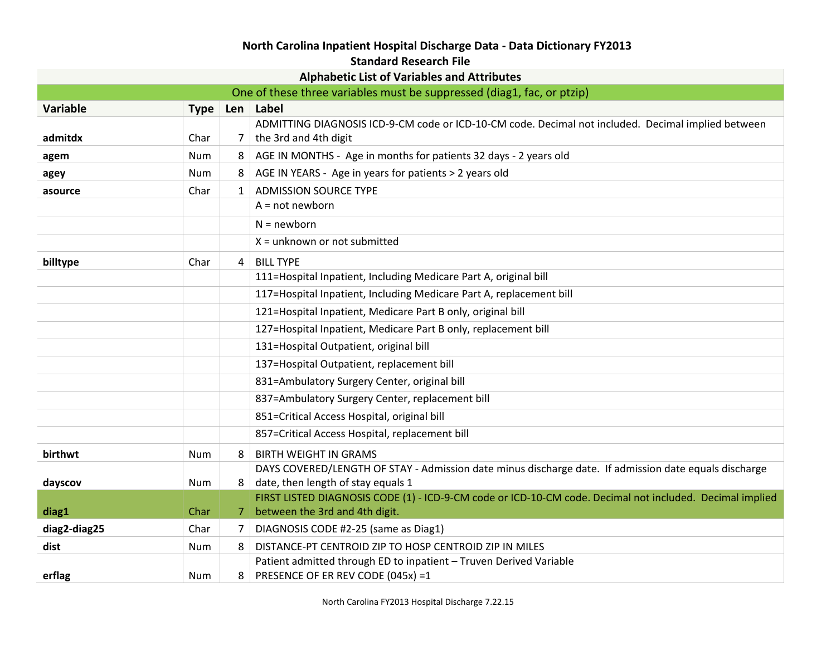## **North Carolina Inpatient Hospital Discharge Data - Data Dictionary FY2013**

## **Standard Research File**

| <b>Alphabetic List of Variables and Attributes</b>                     |             |                |                                                                                                          |
|------------------------------------------------------------------------|-------------|----------------|----------------------------------------------------------------------------------------------------------|
| One of these three variables must be suppressed (diag1, fac, or ptzip) |             |                |                                                                                                          |
| Variable                                                               | <b>Type</b> | Len            | Label                                                                                                    |
|                                                                        |             |                | ADMITTING DIAGNOSIS ICD-9-CM code or ICD-10-CM code. Decimal not included. Decimal implied between       |
| admitdx                                                                | Char        | 7              | the 3rd and 4th digit                                                                                    |
| agem                                                                   | <b>Num</b>  | 8              | AGE IN MONTHS - Age in months for patients 32 days - 2 years old                                         |
| agey                                                                   | Num         | 8              | AGE IN YEARS - Age in years for patients > 2 years old                                                   |
| asource                                                                | Char        | $\mathbf{1}$   | <b>ADMISSION SOURCE TYPE</b>                                                                             |
|                                                                        |             |                | $A = not newborn$                                                                                        |
|                                                                        |             |                | $N = newborn$                                                                                            |
|                                                                        |             |                | $X =$ unknown or not submitted                                                                           |
| billtype                                                               | Char        | 4              | <b>BILL TYPE</b>                                                                                         |
|                                                                        |             |                | 111=Hospital Inpatient, Including Medicare Part A, original bill                                         |
|                                                                        |             |                | 117=Hospital Inpatient, Including Medicare Part A, replacement bill                                      |
|                                                                        |             |                | 121=Hospital Inpatient, Medicare Part B only, original bill                                              |
|                                                                        |             |                | 127=Hospital Inpatient, Medicare Part B only, replacement bill                                           |
|                                                                        |             |                | 131=Hospital Outpatient, original bill                                                                   |
|                                                                        |             |                | 137=Hospital Outpatient, replacement bill                                                                |
|                                                                        |             |                | 831=Ambulatory Surgery Center, original bill                                                             |
|                                                                        |             |                | 837=Ambulatory Surgery Center, replacement bill                                                          |
|                                                                        |             |                | 851=Critical Access Hospital, original bill                                                              |
|                                                                        |             |                | 857=Critical Access Hospital, replacement bill                                                           |
| birthwt                                                                | Num         | 8              | <b>BIRTH WEIGHT IN GRAMS</b>                                                                             |
|                                                                        |             |                | DAYS COVERED/LENGTH OF STAY - Admission date minus discharge date. If admission date equals discharge    |
| dayscov                                                                | Num         | 8              | date, then length of stay equals 1                                                                       |
|                                                                        |             |                | FIRST LISTED DIAGNOSIS CODE (1) - ICD-9-CM code or ICD-10-CM code. Decimal not included. Decimal implied |
| diag1                                                                  | Char        | 7              | between the 3rd and 4th digit.                                                                           |
| diag2-diag25                                                           | Char        | $\overline{7}$ | DIAGNOSIS CODE #2-25 (same as Diag1)                                                                     |
| dist                                                                   | Num         | 8              | DISTANCE-PT CENTROID ZIP TO HOSP CENTROID ZIP IN MILES                                                   |
| erflag                                                                 | Num         | 8 <sup>1</sup> | Patient admitted through ED to inpatient - Truven Derived Variable<br>PRESENCE OF ER REV CODE (045x) =1  |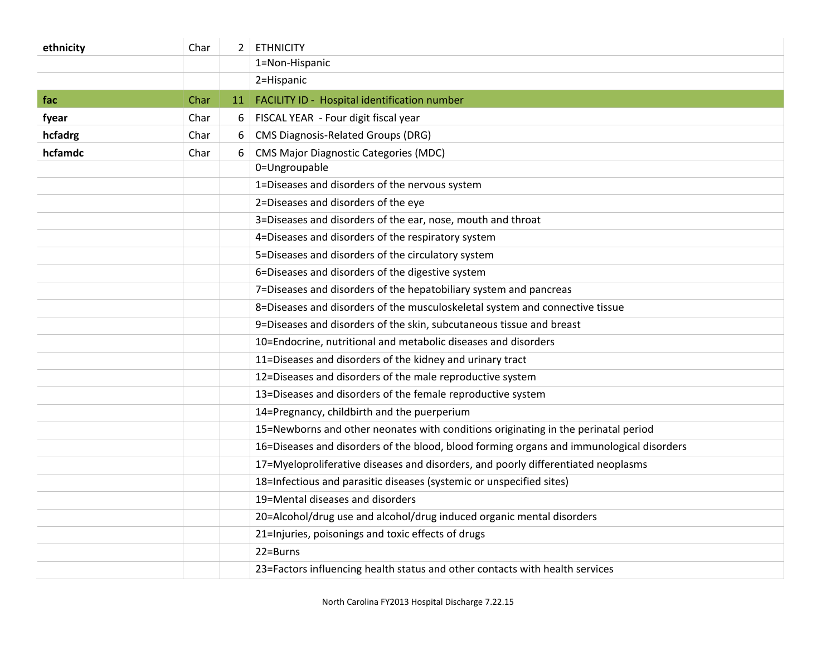| ethnicity | Char | $\overline{2}$ | <b>ETHNICITY</b>                                                                         |
|-----------|------|----------------|------------------------------------------------------------------------------------------|
|           |      |                | 1=Non-Hispanic                                                                           |
|           |      |                | 2=Hispanic                                                                               |
| fac       | Char | 11             | FACILITY ID - Hospital identification number                                             |
| fyear     | Char | 6              | FISCAL YEAR - Four digit fiscal year                                                     |
| hcfadrg   | Char | 6              | <b>CMS Diagnosis-Related Groups (DRG)</b>                                                |
| hcfamdc   | Char | 6              | <b>CMS Major Diagnostic Categories (MDC)</b>                                             |
|           |      |                | 0=Ungroupable                                                                            |
|           |      |                | 1=Diseases and disorders of the nervous system                                           |
|           |      |                | 2=Diseases and disorders of the eye                                                      |
|           |      |                | 3=Diseases and disorders of the ear, nose, mouth and throat                              |
|           |      |                | 4=Diseases and disorders of the respiratory system                                       |
|           |      |                | 5=Diseases and disorders of the circulatory system                                       |
|           |      |                | 6=Diseases and disorders of the digestive system                                         |
|           |      |                | 7=Diseases and disorders of the hepatobiliary system and pancreas                        |
|           |      |                | 8=Diseases and disorders of the musculoskeletal system and connective tissue             |
|           |      |                | 9=Diseases and disorders of the skin, subcutaneous tissue and breast                     |
|           |      |                | 10=Endocrine, nutritional and metabolic diseases and disorders                           |
|           |      |                | 11=Diseases and disorders of the kidney and urinary tract                                |
|           |      |                | 12=Diseases and disorders of the male reproductive system                                |
|           |      |                | 13=Diseases and disorders of the female reproductive system                              |
|           |      |                | 14=Pregnancy, childbirth and the puerperium                                              |
|           |      |                | 15=Newborns and other neonates with conditions originating in the perinatal period       |
|           |      |                | 16=Diseases and disorders of the blood, blood forming organs and immunological disorders |
|           |      |                | 17=Myeloproliferative diseases and disorders, and poorly differentiated neoplasms        |
|           |      |                | 18=Infectious and parasitic diseases (systemic or unspecified sites)                     |
|           |      |                | 19=Mental diseases and disorders                                                         |
|           |      |                | 20=Alcohol/drug use and alcohol/drug induced organic mental disorders                    |
|           |      |                | 21=Injuries, poisonings and toxic effects of drugs                                       |
|           |      |                | 22=Burns                                                                                 |
|           |      |                | 23=Factors influencing health status and other contacts with health services             |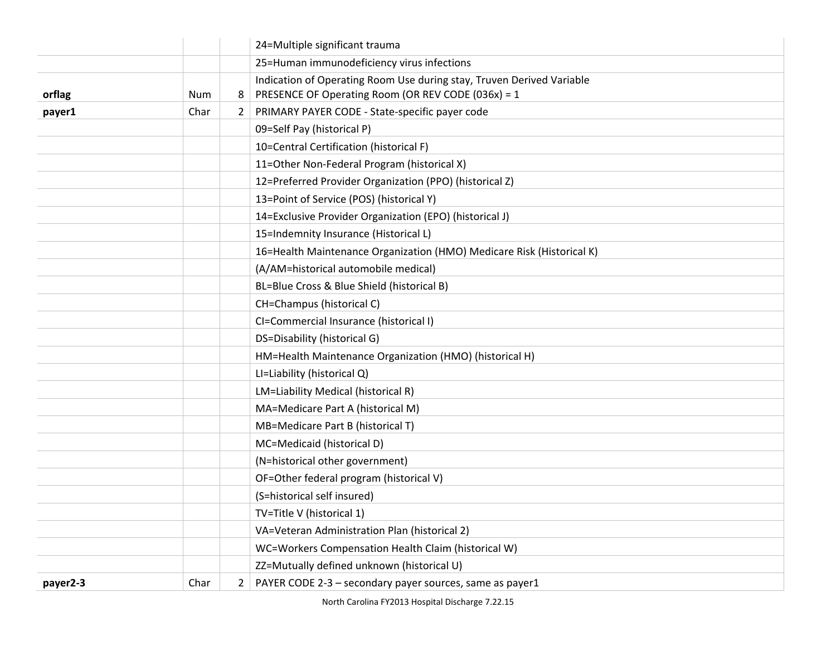|          |            |   | 24=Multiple significant trauma                                        |
|----------|------------|---|-----------------------------------------------------------------------|
|          |            |   | 25=Human immunodeficiency virus infections                            |
|          |            |   | Indication of Operating Room Use during stay, Truven Derived Variable |
| orflag   | <b>Num</b> | 8 | PRESENCE OF Operating Room (OR REV CODE (036x) = 1                    |
| payer1   | Char       | 2 | PRIMARY PAYER CODE - State-specific payer code                        |
|          |            |   | 09=Self Pay (historical P)                                            |
|          |            |   | 10=Central Certification (historical F)                               |
|          |            |   | 11=Other Non-Federal Program (historical X)                           |
|          |            |   | 12=Preferred Provider Organization (PPO) (historical Z)               |
|          |            |   | 13=Point of Service (POS) (historical Y)                              |
|          |            |   | 14=Exclusive Provider Organization (EPO) (historical J)               |
|          |            |   | 15=Indemnity Insurance (Historical L)                                 |
|          |            |   | 16=Health Maintenance Organization (HMO) Medicare Risk (Historical K) |
|          |            |   | (A/AM=historical automobile medical)                                  |
|          |            |   | BL=Blue Cross & Blue Shield (historical B)                            |
|          |            |   | CH=Champus (historical C)                                             |
|          |            |   | CI=Commercial Insurance (historical I)                                |
|          |            |   | DS=Disability (historical G)                                          |
|          |            |   | HM=Health Maintenance Organization (HMO) (historical H)               |
|          |            |   | LI=Liability (historical Q)                                           |
|          |            |   | LM=Liability Medical (historical R)                                   |
|          |            |   | MA=Medicare Part A (historical M)                                     |
|          |            |   | MB=Medicare Part B (historical T)                                     |
|          |            |   | MC=Medicaid (historical D)                                            |
|          |            |   | (N=historical other government)                                       |
|          |            |   | OF=Other federal program (historical V)                               |
|          |            |   | (S=historical self insured)                                           |
|          |            |   | TV=Title V (historical 1)                                             |
|          |            |   | VA=Veteran Administration Plan (historical 2)                         |
|          |            |   | WC=Workers Compensation Health Claim (historical W)                   |
|          |            |   | ZZ=Mutually defined unknown (historical U)                            |
| payer2-3 | Char       | 2 | PAYER CODE 2-3 - secondary payer sources, same as payer1              |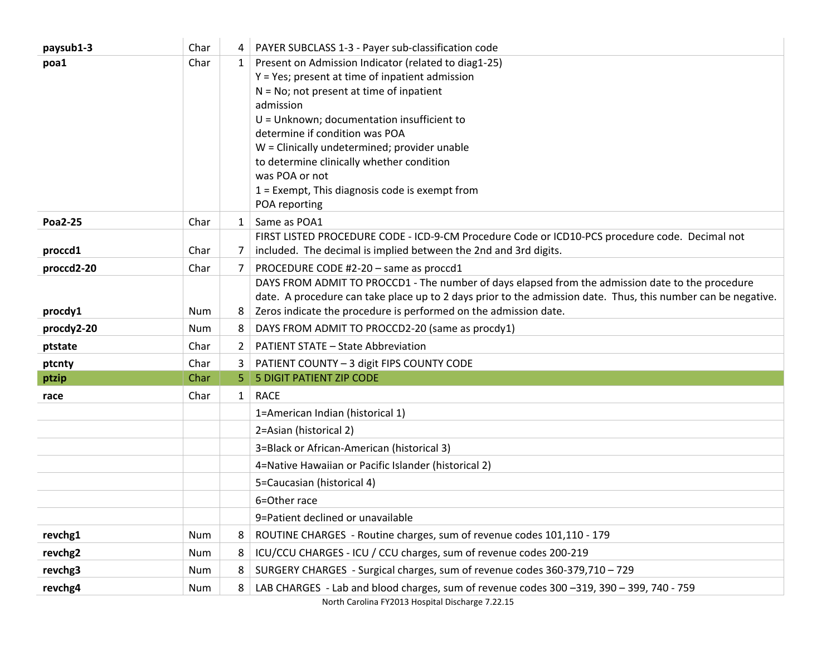| paysub1-3      | Char       | 4            | PAYER SUBCLASS 1-3 - Payer sub-classification code                                                                                                                                                                                                                                    |
|----------------|------------|--------------|---------------------------------------------------------------------------------------------------------------------------------------------------------------------------------------------------------------------------------------------------------------------------------------|
| poa1           | Char       | $\mathbf{1}$ | Present on Admission Indicator (related to diag1-25)<br>Y = Yes; present at time of inpatient admission<br>$N = No$ ; not present at time of inpatient<br>admission<br>$U =$ Unknown; documentation insufficient to<br>determine if condition was POA                                 |
|                |            |              | W = Clinically undetermined; provider unable<br>to determine clinically whether condition<br>was POA or not<br>1 = Exempt, This diagnosis code is exempt from<br>POA reporting                                                                                                        |
| <b>Poa2-25</b> | Char       | $\mathbf{1}$ | Same as POA1                                                                                                                                                                                                                                                                          |
| proccd1        | Char       | 7            | FIRST LISTED PROCEDURE CODE - ICD-9-CM Procedure Code or ICD10-PCS procedure code. Decimal not<br>included. The decimal is implied between the 2nd and 3rd digits.                                                                                                                    |
| proccd2-20     | Char       | 7            | PROCEDURE CODE #2-20 - same as proccd1                                                                                                                                                                                                                                                |
| procdy1        | <b>Num</b> | 8            | DAYS FROM ADMIT TO PROCCD1 - The number of days elapsed from the admission date to the procedure<br>date. A procedure can take place up to 2 days prior to the admission date. Thus, this number can be negative.<br>Zeros indicate the procedure is performed on the admission date. |
| procdy2-20     | <b>Num</b> | 8            | DAYS FROM ADMIT TO PROCCD2-20 (same as procdy1)                                                                                                                                                                                                                                       |
| ptstate        | Char       | 2            | <b>PATIENT STATE - State Abbreviation</b>                                                                                                                                                                                                                                             |
| ptcnty         | Char       | 3.           | PATIENT COUNTY - 3 digit FIPS COUNTY CODE                                                                                                                                                                                                                                             |
| ptzip          | Char       | 5.           | <b>5 DIGIT PATIENT ZIP CODE</b>                                                                                                                                                                                                                                                       |
| race           | Char       |              | 1   RACE                                                                                                                                                                                                                                                                              |
|                |            |              | 1=American Indian (historical 1)                                                                                                                                                                                                                                                      |
|                |            |              | 2=Asian (historical 2)                                                                                                                                                                                                                                                                |
|                |            |              | 3=Black or African-American (historical 3)                                                                                                                                                                                                                                            |
|                |            |              | 4=Native Hawaiian or Pacific Islander (historical 2)                                                                                                                                                                                                                                  |
|                |            |              | 5=Caucasian (historical 4)                                                                                                                                                                                                                                                            |
|                |            |              | 6=Other race                                                                                                                                                                                                                                                                          |
|                |            |              | 9=Patient declined or unavailable                                                                                                                                                                                                                                                     |
| revchg1        | <b>Num</b> | 8            | ROUTINE CHARGES - Routine charges, sum of revenue codes 101,110 - 179                                                                                                                                                                                                                 |
| revchg2        | Num        | 8            | ICU/CCU CHARGES - ICU / CCU charges, sum of revenue codes 200-219                                                                                                                                                                                                                     |
| revchg3        | Num        | 8            | SURGERY CHARGES - Surgical charges, sum of revenue codes 360-379,710 - 729                                                                                                                                                                                                            |
| revchg4        | Num        | 8            | LAB CHARGES - Lab and blood charges, sum of revenue codes 300 -319, 390 - 399, 740 - 759                                                                                                                                                                                              |

North Carolina FY2013 Hospital Discharge 7.22.15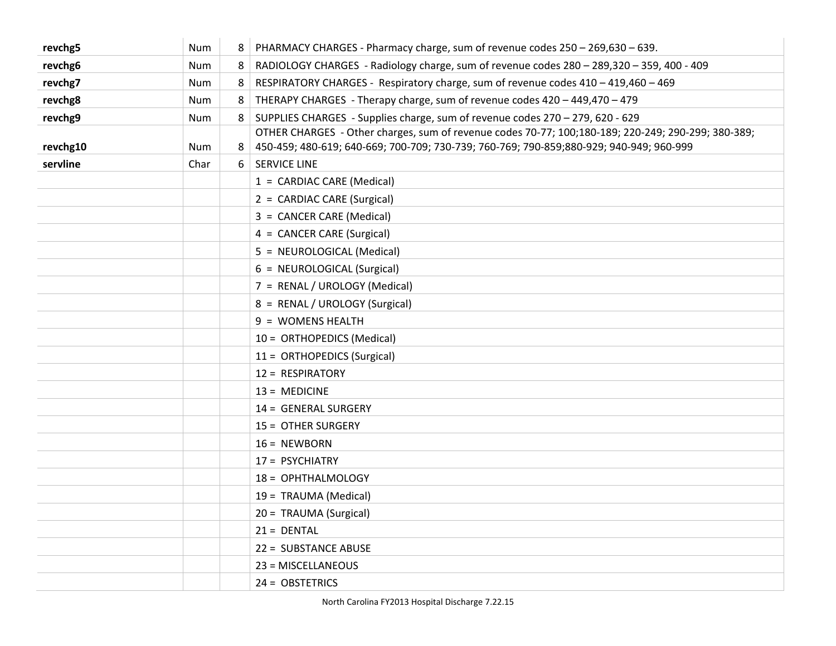| revchg5  | <b>Num</b> | 8 | PHARMACY CHARGES - Pharmacy charge, sum of revenue codes 250 - 269,630 - 639.                                                                                                                  |
|----------|------------|---|------------------------------------------------------------------------------------------------------------------------------------------------------------------------------------------------|
| revchg6  | Num        | 8 | RADIOLOGY CHARGES - Radiology charge, sum of revenue codes 280 - 289,320 - 359, 400 - 409                                                                                                      |
| revchg7  | <b>Num</b> | 8 | RESPIRATORY CHARGES - Respiratory charge, sum of revenue codes 410 - 419,460 - 469                                                                                                             |
| revchg8  | Num        | 8 | THERAPY CHARGES - Therapy charge, sum of revenue codes 420 - 449,470 - 479                                                                                                                     |
| revchg9  | <b>Num</b> | 8 | SUPPLIES CHARGES - Supplies charge, sum of revenue codes 270 - 279, 620 - 629                                                                                                                  |
| revchg10 | Num        | 8 | OTHER CHARGES - Other charges, sum of revenue codes 70-77; 100;180-189; 220-249; 290-299; 380-389;<br>450-459; 480-619; 640-669; 700-709; 730-739; 760-769; 790-859; 880-929; 940-949; 960-999 |
| servline | Char       | 6 | <b>SERVICE LINE</b>                                                                                                                                                                            |
|          |            |   | 1 = CARDIAC CARE (Medical)                                                                                                                                                                     |
|          |            |   | 2 = CARDIAC CARE (Surgical)                                                                                                                                                                    |
|          |            |   | 3 = CANCER CARE (Medical)                                                                                                                                                                      |
|          |            |   | 4 = CANCER CARE (Surgical)                                                                                                                                                                     |
|          |            |   | 5 = NEUROLOGICAL (Medical)                                                                                                                                                                     |
|          |            |   | 6 = NEUROLOGICAL (Surgical)                                                                                                                                                                    |
|          |            |   | 7 = RENAL / UROLOGY (Medical)                                                                                                                                                                  |
|          |            |   | 8 = RENAL / UROLOGY (Surgical)                                                                                                                                                                 |
|          |            |   | 9 = WOMENS HEALTH                                                                                                                                                                              |
|          |            |   | 10 = ORTHOPEDICS (Medical)                                                                                                                                                                     |
|          |            |   | 11 = ORTHOPEDICS (Surgical)                                                                                                                                                                    |
|          |            |   | 12 = RESPIRATORY                                                                                                                                                                               |
|          |            |   | $13 = MEDICINE$                                                                                                                                                                                |
|          |            |   | 14 = GENERAL SURGERY                                                                                                                                                                           |
|          |            |   | 15 = OTHER SURGERY                                                                                                                                                                             |
|          |            |   | $16 = NEWBORN$                                                                                                                                                                                 |
|          |            |   | 17 = PSYCHIATRY                                                                                                                                                                                |
|          |            |   | 18 = OPHTHALMOLOGY                                                                                                                                                                             |
|          |            |   | 19 = TRAUMA (Medical)                                                                                                                                                                          |
|          |            |   | 20 = TRAUMA (Surgical)                                                                                                                                                                         |
|          |            |   | $21 = DENTAL$                                                                                                                                                                                  |
|          |            |   | 22 = SUBSTANCE ABUSE                                                                                                                                                                           |
|          |            |   | 23 = MISCELLANEOUS                                                                                                                                                                             |
|          |            |   | 24 = OBSTETRICS                                                                                                                                                                                |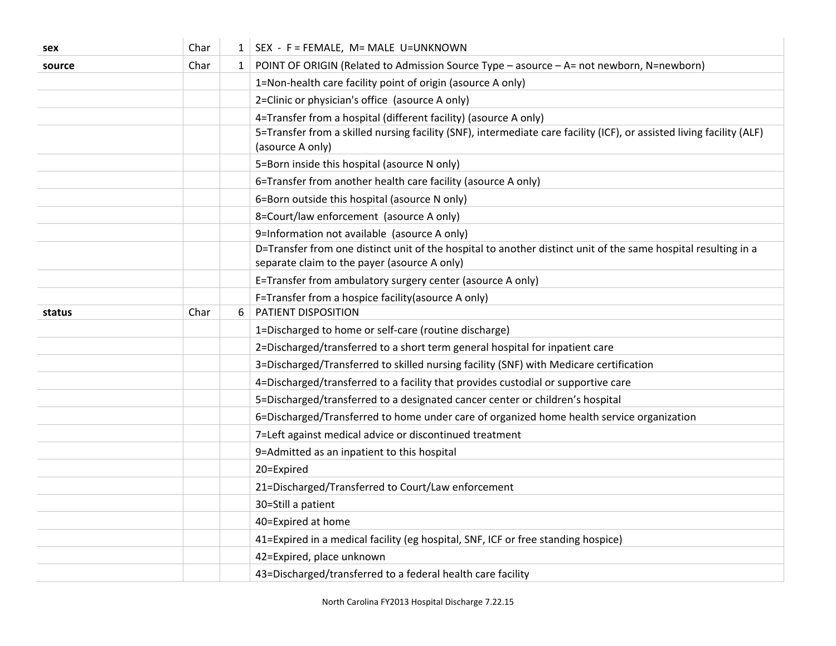| sex    | Char |              | $1$ SEX - F = FEMALE, M = MALE U = UNKNOWN                                                                                                                     |
|--------|------|--------------|----------------------------------------------------------------------------------------------------------------------------------------------------------------|
| source | Char | $\mathbf{1}$ | POINT OF ORIGIN (Related to Admission Source Type - asource - A= not newborn, N=newborn)                                                                       |
|        |      |              | 1=Non-health care facility point of origin (asource A only)                                                                                                    |
|        |      |              | 2=Clinic or physician's office (asource A only)                                                                                                                |
|        |      |              | 4=Transfer from a hospital (different facility) (asource A only)                                                                                               |
|        |      |              | 5=Transfer from a skilled nursing facility (SNF), intermediate care facility (ICF), or assisted living facility (ALF)<br>(asource A only)                      |
|        |      |              | 5=Born inside this hospital (asource N only)                                                                                                                   |
|        |      |              | 6=Transfer from another health care facility (asource A only)                                                                                                  |
|        |      |              | 6=Born outside this hospital (asource N only)                                                                                                                  |
|        |      |              | 8=Court/law enforcement (asource A only)                                                                                                                       |
|        |      |              | 9=Information not available (asource A only)                                                                                                                   |
|        |      |              | D=Transfer from one distinct unit of the hospital to another distinct unit of the same hospital resulting in a<br>separate claim to the payer (asource A only) |
|        |      |              | E=Transfer from ambulatory surgery center (asource A only)                                                                                                     |
|        |      |              | F=Transfer from a hospice facility (asource A only)                                                                                                            |
| status | Char | 6            | PATIENT DISPOSITION                                                                                                                                            |
|        |      |              | 1=Discharged to home or self-care (routine discharge)                                                                                                          |
|        |      |              | 2=Discharged/transferred to a short term general hospital for inpatient care                                                                                   |
|        |      |              | 3=Discharged/Transferred to skilled nursing facility (SNF) with Medicare certification                                                                         |
|        |      |              | 4=Discharged/transferred to a facility that provides custodial or supportive care                                                                              |
|        |      |              | 5=Discharged/transferred to a designated cancer center or children's hospital                                                                                  |
|        |      |              | 6=Discharged/Transferred to home under care of organized home health service organization                                                                      |
|        |      |              | 7=Left against medical advice or discontinued treatment                                                                                                        |
|        |      |              | 9=Admitted as an inpatient to this hospital                                                                                                                    |
|        |      |              | 20=Expired                                                                                                                                                     |
|        |      |              | 21=Discharged/Transferred to Court/Law enforcement                                                                                                             |
|        |      |              | 30=Still a patient                                                                                                                                             |
|        |      |              | 40=Expired at home                                                                                                                                             |
|        |      |              | 41=Expired in a medical facility (eg hospital, SNF, ICF or free standing hospice)                                                                              |
|        |      |              | 42=Expired, place unknown                                                                                                                                      |
|        |      |              | 43=Discharged/transferred to a federal health care facility                                                                                                    |